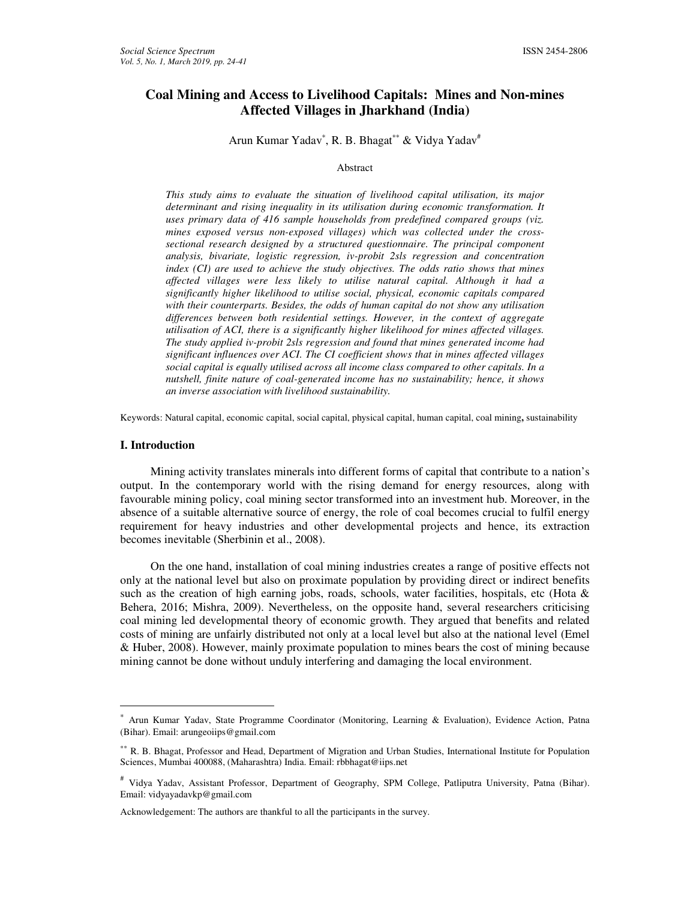# **Coal Mining and Access to Livelihood Capitals: Mines and Non-mines Affected Villages in Jharkhand (India)**

Arun Kumar Yadav<sup>\*</sup>, R. B. Bhagat<sup>\*\*</sup> & Vidya Yadav<sup>#</sup>

#### Abstract

*This study aims to evaluate the situation of livelihood capital utilisation, its major determinant and rising inequality in its utilisation during economic transformation. It uses primary data of 416 sample households from predefined compared groups (viz. mines exposed versus non-exposed villages) which was collected under the crosssectional research designed by a structured questionnaire. The principal component analysis, bivariate, logistic regression, iv-probit 2sls regression and concentration index (CI) are used to achieve the study objectives. The odds ratio shows that mines affected villages were less likely to utilise natural capital. Although it had a significantly higher likelihood to utilise social, physical, economic capitals compared with their counterparts. Besides, the odds of human capital do not show any utilisation differences between both residential settings. However, in the context of aggregate utilisation of ACI, there is a significantly higher likelihood for mines affected villages. The study applied iv-probit 2sls regression and found that mines generated income had significant influences over ACI. The CI coefficient shows that in mines affected villages social capital is equally utilised across all income class compared to other capitals. In a nutshell, finite nature of coal-generated income has no sustainability; hence, it shows an inverse association with livelihood sustainability.* 

Keywords: Natural capital, economic capital, social capital, physical capital, human capital, coal mining**,** sustainability

#### **I. Introduction**

 $\overline{a}$ 

Mining activity translates minerals into different forms of capital that contribute to a nation's output. In the contemporary world with the rising demand for energy resources, along with favourable mining policy, coal mining sector transformed into an investment hub. Moreover, in the absence of a suitable alternative source of energy, the role of coal becomes crucial to fulfil energy requirement for heavy industries and other developmental projects and hence, its extraction becomes inevitable (Sherbinin et al., 2008).

On the one hand, installation of coal mining industries creates a range of positive effects not only at the national level but also on proximate population by providing direct or indirect benefits such as the creation of high earning jobs, roads, schools, water facilities, hospitals, etc (Hota  $\&$ Behera, 2016; Mishra, 2009). Nevertheless, on the opposite hand, several researchers criticising coal mining led developmental theory of economic growth. They argued that benefits and related costs of mining are unfairly distributed not only at a local level but also at the national level (Emel & Huber, 2008). However, mainly proximate population to mines bears the cost of mining because mining cannot be done without unduly interfering and damaging the local environment.

<sup>∗</sup> Arun Kumar Yadav, State Programme Coordinator (Monitoring, Learning & Evaluation), Evidence Action, Patna (Bihar). Email: arungeoiips@gmail.com

<sup>∗∗</sup> R. B. Bhagat, Professor and Head, Department of Migration and Urban Studies, International Institute for Population Sciences, Mumbai 400088, (Maharashtra) India. Email: rbbhagat@iips.net

<sup>#</sup> Vidya Yadav, Assistant Professor, Department of Geography, SPM College, Patliputra University, Patna (Bihar). Email: vidyayadavkp@gmail.com

Acknowledgement: The authors are thankful to all the participants in the survey.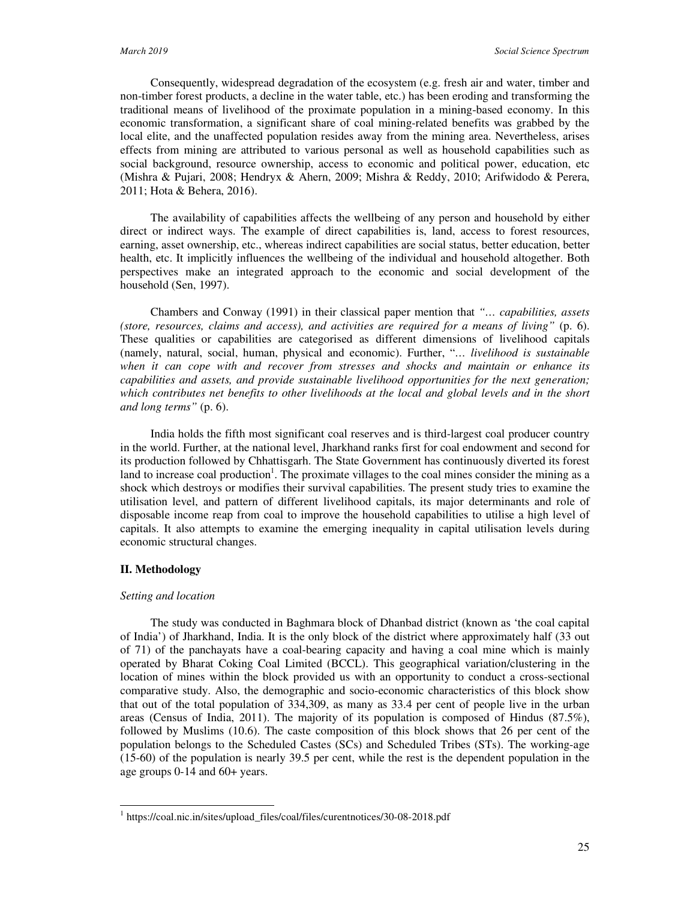Consequently, widespread degradation of the ecosystem (e.g. fresh air and water, timber and non-timber forest products, a decline in the water table, etc.) has been eroding and transforming the traditional means of livelihood of the proximate population in a mining-based economy. In this economic transformation, a significant share of coal mining-related benefits was grabbed by the local elite, and the unaffected population resides away from the mining area. Nevertheless, arises effects from mining are attributed to various personal as well as household capabilities such as social background, resource ownership, access to economic and political power, education, etc (Mishra & Pujari, 2008; Hendryx & Ahern, 2009; Mishra & Reddy, 2010; Arifwidodo & Perera, 2011; Hota & Behera, 2016).

The availability of capabilities affects the wellbeing of any person and household by either direct or indirect ways. The example of direct capabilities is, land, access to forest resources, earning, asset ownership, etc., whereas indirect capabilities are social status, better education, better health, etc. It implicitly influences the wellbeing of the individual and household altogether. Both perspectives make an integrated approach to the economic and social development of the household (Sen, 1997).

Chambers and Conway (1991) in their classical paper mention that *"… capabilities, assets (store, resources, claims and access), and activities are required for a means of living"* (p. 6). These qualities or capabilities are categorised as different dimensions of livelihood capitals (namely, natural, social, human, physical and economic). Further, "*… livelihood is sustainable when it can cope with and recover from stresses and shocks and maintain or enhance its capabilities and assets, and provide sustainable livelihood opportunities for the next generation; which contributes net benefits to other livelihoods at the local and global levels and in the short and long terms"* (p. 6).

India holds the fifth most significant coal reserves and is third-largest coal producer country in the world. Further, at the national level, Jharkhand ranks first for coal endowment and second for its production followed by Chhattisgarh. The State Government has continuously diverted its forest land to increase coal production<sup>1</sup>. The proximate villages to the coal mines consider the mining as a shock which destroys or modifies their survival capabilities. The present study tries to examine the utilisation level, and pattern of different livelihood capitals, its major determinants and role of disposable income reap from coal to improve the household capabilities to utilise a high level of capitals. It also attempts to examine the emerging inequality in capital utilisation levels during economic structural changes.

#### **II. Methodology**

 $\overline{a}$ 

#### *Setting and location*

The study was conducted in Baghmara block of Dhanbad district (known as 'the coal capital of India') of Jharkhand, India. It is the only block of the district where approximately half (33 out of 71) of the panchayats have a coal-bearing capacity and having a coal mine which is mainly operated by Bharat Coking Coal Limited (BCCL). This geographical variation/clustering in the location of mines within the block provided us with an opportunity to conduct a cross-sectional comparative study. Also, the demographic and socio-economic characteristics of this block show that out of the total population of 334,309, as many as 33.4 per cent of people live in the urban areas (Census of India, 2011). The majority of its population is composed of Hindus (87.5%), followed by Muslims (10.6). The caste composition of this block shows that 26 per cent of the population belongs to the Scheduled Castes (SCs) and Scheduled Tribes (STs). The working-age (15-60) of the population is nearly 39.5 per cent, while the rest is the dependent population in the age groups 0-14 and 60+ years.

<sup>&</sup>lt;sup>1</sup> https://coal.nic.in/sites/upload\_files/coal/files/curentnotices/30-08-2018.pdf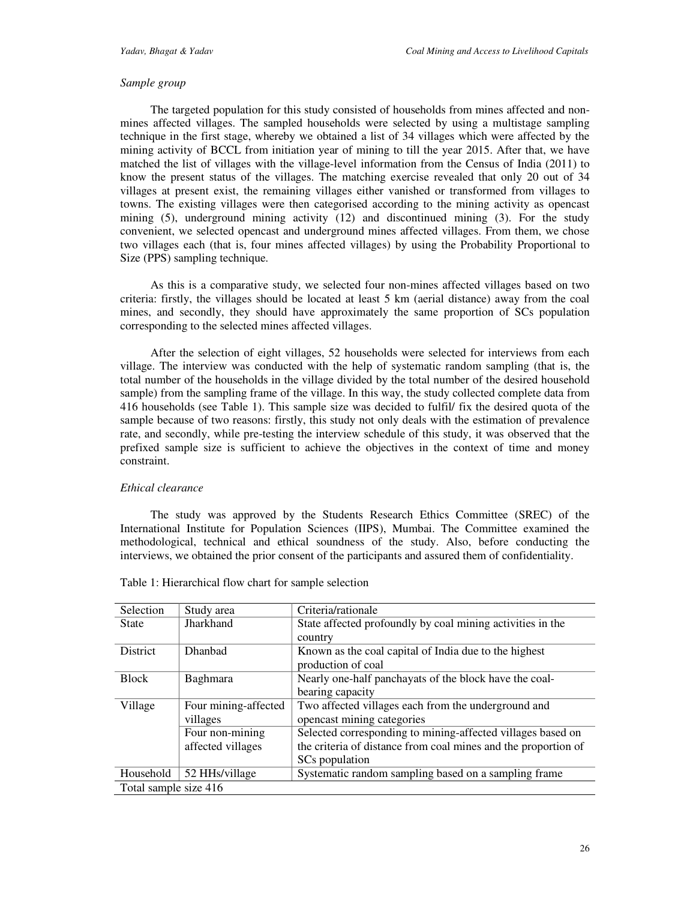# *Sample group*

The targeted population for this study consisted of households from mines affected and nonmines affected villages. The sampled households were selected by using a multistage sampling technique in the first stage, whereby we obtained a list of 34 villages which were affected by the mining activity of BCCL from initiation year of mining to till the year 2015. After that, we have matched the list of villages with the village-level information from the Census of India (2011) to know the present status of the villages. The matching exercise revealed that only 20 out of 34 villages at present exist, the remaining villages either vanished or transformed from villages to towns. The existing villages were then categorised according to the mining activity as opencast mining (5), underground mining activity (12) and discontinued mining (3). For the study convenient, we selected opencast and underground mines affected villages. From them, we chose two villages each (that is, four mines affected villages) by using the Probability Proportional to Size (PPS) sampling technique.

As this is a comparative study, we selected four non-mines affected villages based on two criteria: firstly, the villages should be located at least 5 km (aerial distance) away from the coal mines, and secondly, they should have approximately the same proportion of SCs population corresponding to the selected mines affected villages.

After the selection of eight villages, 52 households were selected for interviews from each village. The interview was conducted with the help of systematic random sampling (that is, the total number of the households in the village divided by the total number of the desired household sample) from the sampling frame of the village. In this way, the study collected complete data from 416 households (see Table 1). This sample size was decided to fulfil/ fix the desired quota of the sample because of two reasons: firstly, this study not only deals with the estimation of prevalence rate, and secondly, while pre-testing the interview schedule of this study, it was observed that the prefixed sample size is sufficient to achieve the objectives in the context of time and money constraint.

# *Ethical clearance*

The study was approved by the Students Research Ethics Committee (SREC) of the International Institute for Population Sciences (IIPS), Mumbai. The Committee examined the methodological, technical and ethical soundness of the study. Also, before conducting the interviews, we obtained the prior consent of the participants and assured them of confidentiality.

| Selection             | Study area           | Criteria/rationale                                             |
|-----------------------|----------------------|----------------------------------------------------------------|
| <b>State</b>          | Jharkhand            | State affected profoundly by coal mining activities in the     |
|                       |                      | country                                                        |
| <b>District</b>       | <b>Dhanbad</b>       | Known as the coal capital of India due to the highest          |
|                       |                      | production of coal                                             |
| <b>Block</b>          | <b>Baghmara</b>      | Nearly one-half panchayats of the block have the coal-         |
|                       |                      | bearing capacity                                               |
| Village               | Four mining-affected | Two affected villages each from the underground and            |
|                       | villages             | opencast mining categories                                     |
|                       | Four non-mining      | Selected corresponding to mining-affected villages based on    |
|                       | affected villages    | the criteria of distance from coal mines and the proportion of |
|                       |                      | SCs population                                                 |
| Household             | 52 HHs/village       | Systematic random sampling based on a sampling frame           |
| Total sample size 416 |                      |                                                                |

Table 1: Hierarchical flow chart for sample selection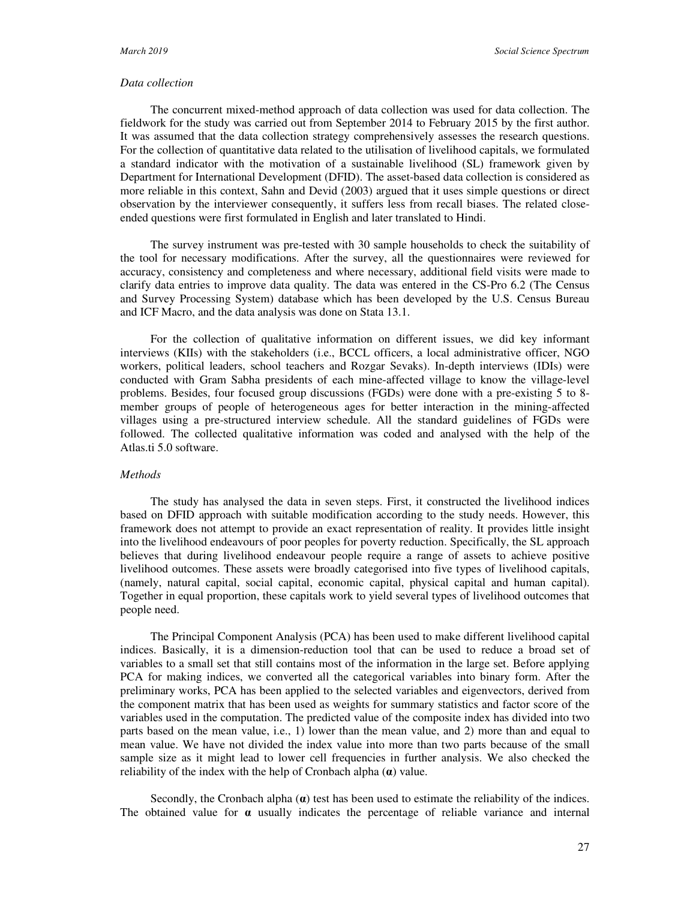# *Data collection*

The concurrent mixed-method approach of data collection was used for data collection. The fieldwork for the study was carried out from September 2014 to February 2015 by the first author. It was assumed that the data collection strategy comprehensively assesses the research questions. For the collection of quantitative data related to the utilisation of livelihood capitals, we formulated a standard indicator with the motivation of a sustainable livelihood (SL) framework given by Department for International Development (DFID). The asset-based data collection is considered as more reliable in this context, Sahn and Devid (2003) argued that it uses simple questions or direct observation by the interviewer consequently, it suffers less from recall biases. The related closeended questions were first formulated in English and later translated to Hindi.

The survey instrument was pre-tested with 30 sample households to check the suitability of the tool for necessary modifications. After the survey, all the questionnaires were reviewed for accuracy, consistency and completeness and where necessary, additional field visits were made to clarify data entries to improve data quality. The data was entered in the CS-Pro 6.2 (The Census and Survey Processing System) database which has been developed by the U.S. Census Bureau and ICF Macro, and the data analysis was done on Stata 13.1.

For the collection of qualitative information on different issues, we did key informant interviews (KIIs) with the stakeholders (i.e., BCCL officers, a local administrative officer, NGO workers, political leaders, school teachers and Rozgar Sevaks). In-depth interviews (IDIs) were conducted with Gram Sabha presidents of each mine-affected village to know the village-level problems. Besides, four focused group discussions (FGDs) were done with a pre-existing 5 to 8 member groups of people of heterogeneous ages for better interaction in the mining-affected villages using a pre-structured interview schedule. All the standard guidelines of FGDs were followed. The collected qualitative information was coded and analysed with the help of the Atlas.ti 5.0 software.

# *Methods*

The study has analysed the data in seven steps. First, it constructed the livelihood indices based on DFID approach with suitable modification according to the study needs. However, this framework does not attempt to provide an exact representation of reality. It provides little insight into the livelihood endeavours of poor peoples for poverty reduction. Specifically, the SL approach believes that during livelihood endeavour people require a range of assets to achieve positive livelihood outcomes. These assets were broadly categorised into five types of livelihood capitals, (namely, natural capital, social capital, economic capital, physical capital and human capital). Together in equal proportion, these capitals work to yield several types of livelihood outcomes that people need.

The Principal Component Analysis (PCA) has been used to make different livelihood capital indices. Basically, it is a dimension-reduction tool that can be used to reduce a broad set of variables to a small set that still contains most of the information in the large set. Before applying PCA for making indices, we converted all the categorical variables into binary form. After the preliminary works, PCA has been applied to the selected variables and eigenvectors, derived from the component matrix that has been used as weights for summary statistics and factor score of the variables used in the computation. The predicted value of the composite index has divided into two parts based on the mean value, i.e., 1) lower than the mean value, and 2) more than and equal to mean value. We have not divided the index value into more than two parts because of the small sample size as it might lead to lower cell frequencies in further analysis. We also checked the reliability of the index with the help of Cronbach alpha (**α**) value.

Secondly, the Cronbach alpha  $(\alpha)$  test has been used to estimate the reliability of the indices. The obtained value for  $\alpha$  usually indicates the percentage of reliable variance and internal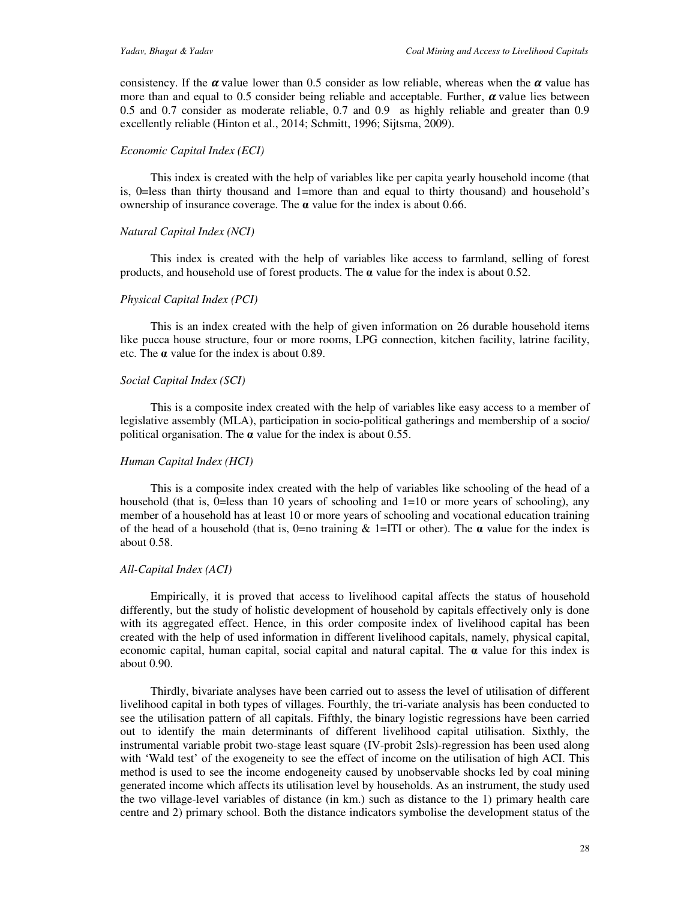consistency. If the  $\alpha$  value lower than 0.5 consider as low reliable, whereas when the  $\alpha$  value has more than and equal to 0.5 consider being reliable and acceptable. Further,  $\alpha$  value lies between 0.5 and 0.7 consider as moderate reliable, 0.7 and 0.9 as highly reliable and greater than 0.9 excellently reliable (Hinton et al., 2014; Schmitt, 1996; Sijtsma, 2009).

# *Economic Capital Index (ECI)*

This index is created with the help of variables like per capita yearly household income (that is, 0=less than thirty thousand and 1=more than and equal to thirty thousand) and household's ownership of insurance coverage. The **α** value for the index is about 0.66.

# *Natural Capital Index (NCI)*

This index is created with the help of variables like access to farmland, selling of forest products, and household use of forest products. The  $\alpha$  value for the index is about 0.52.

# *Physical Capital Index (PCI)*

This is an index created with the help of given information on 26 durable household items like pucca house structure, four or more rooms, LPG connection, kitchen facility, latrine facility, etc. The **α** value for the index is about 0.89.

# *Social Capital Index (SCI)*

This is a composite index created with the help of variables like easy access to a member of legislative assembly (MLA), participation in socio-political gatherings and membership of a socio/ political organisation. The **α** value for the index is about 0.55.

#### *Human Capital Index (HCI)*

This is a composite index created with the help of variables like schooling of the head of a household (that is,  $0 =$ less than 10 years of schooling and  $1 = 10$  or more years of schooling), any member of a household has at least 10 or more years of schooling and vocational education training of the head of a household (that is,  $0=$ no training  $\&$  1=ITI or other). The  $\alpha$  value for the index is about 0.58.

#### *All-Capital Index (ACI)*

Empirically, it is proved that access to livelihood capital affects the status of household differently, but the study of holistic development of household by capitals effectively only is done with its aggregated effect. Hence, in this order composite index of livelihood capital has been created with the help of used information in different livelihood capitals, namely, physical capital, economic capital, human capital, social capital and natural capital. The **α** value for this index is about 0.90.

Thirdly, bivariate analyses have been carried out to assess the level of utilisation of different livelihood capital in both types of villages. Fourthly, the tri-variate analysis has been conducted to see the utilisation pattern of all capitals. Fifthly, the binary logistic regressions have been carried out to identify the main determinants of different livelihood capital utilisation. Sixthly, the instrumental variable probit two-stage least square (IV-probit 2sls)-regression has been used along with 'Wald test' of the exogeneity to see the effect of income on the utilisation of high ACI. This method is used to see the income endogeneity caused by unobservable shocks led by coal mining generated income which affects its utilisation level by households. As an instrument, the study used the two village-level variables of distance (in km.) such as distance to the 1) primary health care centre and 2) primary school. Both the distance indicators symbolise the development status of the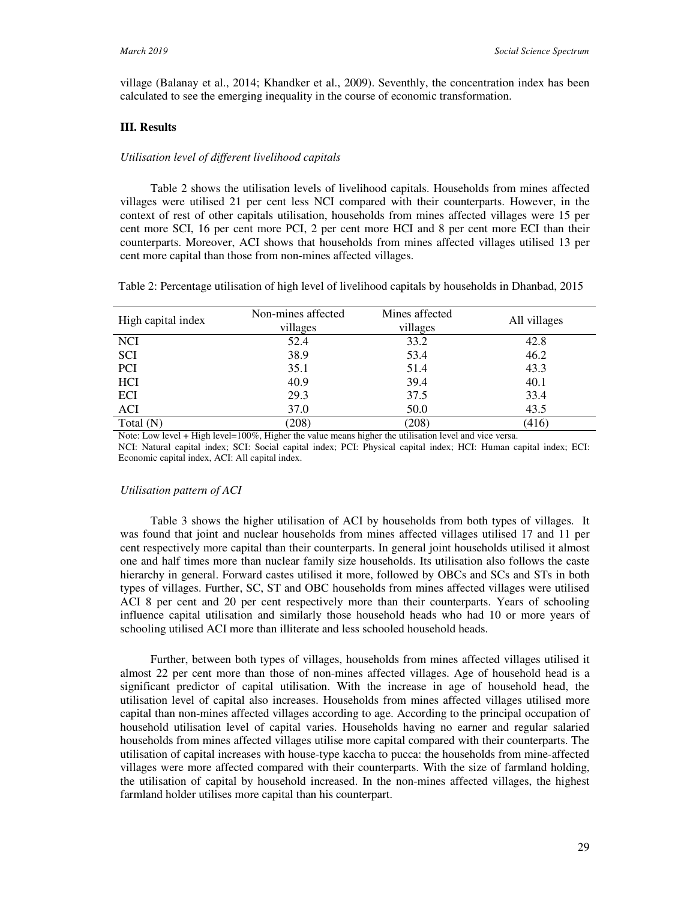village (Balanay et al., 2014; Khandker et al., 2009). Seventhly, the concentration index has been calculated to see the emerging inequality in the course of economic transformation.

### **III. Results**

#### *Utilisation level of different livelihood capitals*

Table 2 shows the utilisation levels of livelihood capitals. Households from mines affected villages were utilised 21 per cent less NCI compared with their counterparts. However, in the context of rest of other capitals utilisation, households from mines affected villages were 15 per cent more SCI, 16 per cent more PCI, 2 per cent more HCI and 8 per cent more ECI than their counterparts. Moreover, ACI shows that households from mines affected villages utilised 13 per cent more capital than those from non-mines affected villages.

Table 2: Percentage utilisation of high level of livelihood capitals by households in Dhanbad, 2015

| High capital index | Non-mines affected<br>villages | Mines affected<br>villages | All villages |
|--------------------|--------------------------------|----------------------------|--------------|
| <b>NCI</b>         | 52.4                           | 33.2                       | 42.8         |
| <b>SCI</b>         | 38.9                           | 53.4                       | 46.2         |
| <b>PCI</b>         | 35.1                           | 51.4                       | 43.3         |
| HCI                | 40.9                           | 39.4                       | 40.1         |
| ECI                | 29.3                           | 37.5                       | 33.4         |
| ACI                | 37.0                           | 50.0                       | 43.5         |
| Total $(N)$        | (208)                          | (208)                      | (416)        |

Note: Low level + High level=100%, Higher the value means higher the utilisation level and vice versa.

NCI: Natural capital index; SCI: Social capital index; PCI: Physical capital index; HCI: Human capital index; ECI: Economic capital index, ACI: All capital index.

#### *Utilisation pattern of ACI*

Table 3 shows the higher utilisation of ACI by households from both types of villages. It was found that joint and nuclear households from mines affected villages utilised 17 and 11 per cent respectively more capital than their counterparts. In general joint households utilised it almost one and half times more than nuclear family size households. Its utilisation also follows the caste hierarchy in general. Forward castes utilised it more, followed by OBCs and SCs and STs in both types of villages. Further, SC, ST and OBC households from mines affected villages were utilised ACI 8 per cent and 20 per cent respectively more than their counterparts. Years of schooling influence capital utilisation and similarly those household heads who had 10 or more years of schooling utilised ACI more than illiterate and less schooled household heads.

Further, between both types of villages, households from mines affected villages utilised it almost 22 per cent more than those of non-mines affected villages. Age of household head is a significant predictor of capital utilisation. With the increase in age of household head, the utilisation level of capital also increases. Households from mines affected villages utilised more capital than non-mines affected villages according to age. According to the principal occupation of household utilisation level of capital varies. Households having no earner and regular salaried households from mines affected villages utilise more capital compared with their counterparts. The utilisation of capital increases with house-type kaccha to pucca: the households from mine-affected villages were more affected compared with their counterparts. With the size of farmland holding, the utilisation of capital by household increased. In the non-mines affected villages, the highest farmland holder utilises more capital than his counterpart.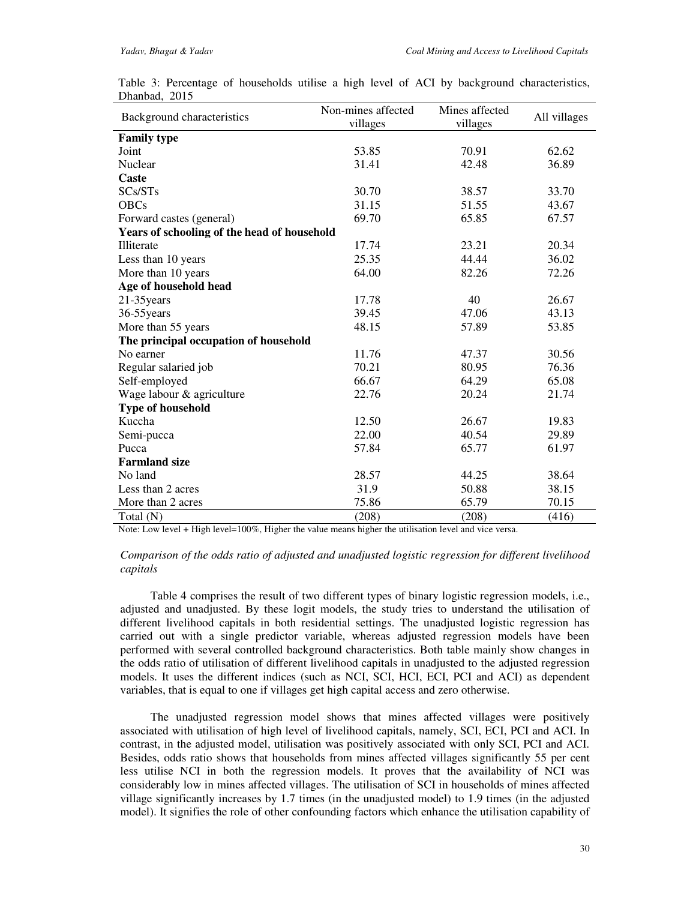| Background characteristics                  | Non-mines affected<br>villages | Mines affected<br>villages | All villages |
|---------------------------------------------|--------------------------------|----------------------------|--------------|
| <b>Family type</b>                          |                                |                            |              |
| Joint                                       | 53.85                          | 70.91                      | 62.62        |
| Nuclear                                     | 31.41                          | 42.48                      | 36.89        |
| Caste                                       |                                |                            |              |
| SCs/STs                                     | 30.70                          | 38.57                      | 33.70        |
| <b>OBCs</b>                                 | 31.15                          | 51.55                      | 43.67        |
| Forward castes (general)                    | 69.70                          | 65.85                      | 67.57        |
| Years of schooling of the head of household |                                |                            |              |
| Illiterate                                  | 17.74                          | 23.21                      | 20.34        |
| Less than 10 years                          | 25.35                          | 44.44                      | 36.02        |
| More than 10 years                          | 64.00                          | 82.26                      | 72.26        |
| Age of household head                       |                                |                            |              |
| $21-35$ years                               | 17.78                          | 40                         | 26.67        |
| 36-55 years                                 | 39.45                          | 47.06                      | 43.13        |
| More than 55 years                          | 48.15                          | 57.89                      | 53.85        |
| The principal occupation of household       |                                |                            |              |
| No earner                                   | 11.76                          | 47.37                      | 30.56        |
| Regular salaried job                        | 70.21                          | 80.95                      | 76.36        |
| Self-employed                               | 66.67                          | 64.29                      | 65.08        |
| Wage labour & agriculture                   | 22.76                          | 20.24                      | 21.74        |
| <b>Type of household</b>                    |                                |                            |              |
| Kuccha                                      | 12.50                          | 26.67                      | 19.83        |
| Semi-pucca                                  | 22.00                          | 40.54                      | 29.89        |
| Pucca                                       | 57.84                          | 65.77                      | 61.97        |
| <b>Farmland size</b>                        |                                |                            |              |
| No land                                     | 28.57                          | 44.25                      | 38.64        |
| Less than 2 acres                           | 31.9                           | 50.88                      | 38.15        |
| More than 2 acres                           | 75.86                          | 65.79                      | 70.15        |
| Total (N)                                   | (208)                          | (208)                      | (416)        |

|               |  |  |  |  |  | Table 3: Percentage of households utilise a high level of ACI by background characteristics, |
|---------------|--|--|--|--|--|----------------------------------------------------------------------------------------------|
| Dhanbad, 2015 |  |  |  |  |  |                                                                                              |

Note: Low level + High level=100%, Higher the value means higher the utilisation level and vice versa.

# *Comparison of the odds ratio of adjusted and unadjusted logistic regression for different livelihood capitals*

Table 4 comprises the result of two different types of binary logistic regression models, i.e., adjusted and unadjusted. By these logit models, the study tries to understand the utilisation of different livelihood capitals in both residential settings. The unadjusted logistic regression has carried out with a single predictor variable, whereas adjusted regression models have been performed with several controlled background characteristics. Both table mainly show changes in the odds ratio of utilisation of different livelihood capitals in unadjusted to the adjusted regression models. It uses the different indices (such as NCI, SCI, HCI, ECI, PCI and ACI) as dependent variables, that is equal to one if villages get high capital access and zero otherwise.

The unadjusted regression model shows that mines affected villages were positively associated with utilisation of high level of livelihood capitals, namely, SCI, ECI, PCI and ACI. In contrast, in the adjusted model, utilisation was positively associated with only SCI, PCI and ACI. Besides, odds ratio shows that households from mines affected villages significantly 55 per cent less utilise NCI in both the regression models. It proves that the availability of NCI was considerably low in mines affected villages. The utilisation of SCI in households of mines affected village significantly increases by 1.7 times (in the unadjusted model) to 1.9 times (in the adjusted model). It signifies the role of other confounding factors which enhance the utilisation capability of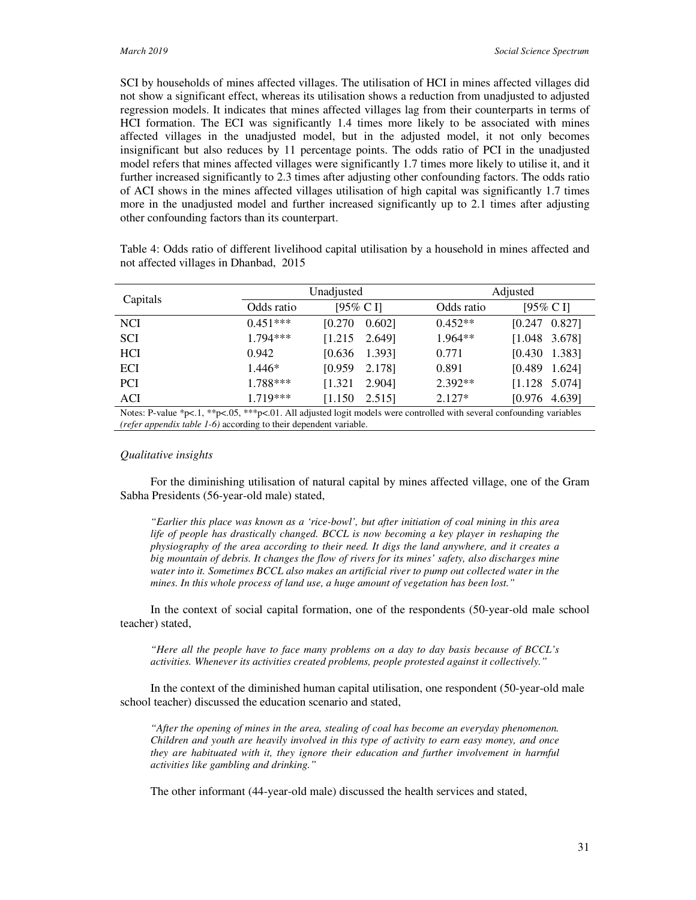SCI by households of mines affected villages. The utilisation of HCI in mines affected villages did not show a significant effect, whereas its utilisation shows a reduction from unadjusted to adjusted regression models. It indicates that mines affected villages lag from their counterparts in terms of HCI formation. The ECI was significantly 1.4 times more likely to be associated with mines affected villages in the unadjusted model, but in the adjusted model, it not only becomes insignificant but also reduces by 11 percentage points. The odds ratio of PCI in the unadjusted model refers that mines affected villages were significantly 1.7 times more likely to utilise it, and it further increased significantly to 2.3 times after adjusting other confounding factors. The odds ratio of ACI shows in the mines affected villages utilisation of high capital was significantly 1.7 times more in the unadjusted model and further increased significantly up to 2.1 times after adjusting other confounding factors than its counterpart.

| Capitals   |            | Unadjusted          |                       |            | Adjusted              |  |  |
|------------|------------|---------------------|-----------------------|------------|-----------------------|--|--|
|            | Odds ratio | $[95\% \text{ C} ]$ |                       | Odds ratio | $[95\% \text{ C} ]$   |  |  |
| <b>NCI</b> | $0.451***$ | [0.270]             | 0.6021                | $0.452**$  | 0.827]<br>[0.247]     |  |  |
| <b>SCI</b> | $1.794***$ |                     | $[1.215 \quad 2.649]$ | $1.964**$  | $[1.048 \t3.678]$     |  |  |
| <b>HCI</b> | 0.942      |                     | $[0.636 \quad 1.393]$ | 0.771      | 1.383]<br>[0.430]     |  |  |
| ECI        | $1.446*$   | [0.959]             | 2.178]                | 0.891      | [0.489]<br>1.624]     |  |  |
| <b>PCI</b> | 1.788***   | [1.321]             | 2.904]                | $2.392**$  | $[1.128 \t 5.074]$    |  |  |
| ACI        | $1.719***$ | [1.150]             | 2.515]                | $2.127*$   | $[0.976 \quad 4.639]$ |  |  |

Table 4: Odds ratio of different livelihood capital utilisation by a household in mines affected and not affected villages in Dhanbad, 2015

Notes: P-value \*p<.1, \*\*p<.05, \*\*\*p<.01. All adjusted logit models were controlled with several confounding variables *(refer appendix table 1-6)* according to their dependent variable.

#### *Qualitative insights*

For the diminishing utilisation of natural capital by mines affected village, one of the Gram Sabha Presidents (56-year-old male) stated,

*"Earlier this place was known as a 'rice-bowl', but after initiation of coal mining in this area life of people has drastically changed. BCCL is now becoming a key player in reshaping the physiography of the area according to their need. It digs the land anywhere, and it creates a big mountain of debris. It changes the flow of rivers for its mines' safety, also discharges mine water into it. Sometimes BCCL also makes an artificial river to pump out collected water in the mines. In this whole process of land use, a huge amount of vegetation has been lost."* 

In the context of social capital formation, one of the respondents (50-year-old male school teacher) stated,

*"Here all the people have to face many problems on a day to day basis because of BCCL's activities. Whenever its activities created problems, people protested against it collectively."*

In the context of the diminished human capital utilisation, one respondent (50-year-old male school teacher) discussed the education scenario and stated,

*"After the opening of mines in the area, stealing of coal has become an everyday phenomenon. Children and youth are heavily involved in this type of activity to earn easy money, and once they are habituated with it, they ignore their education and further involvement in harmful activities like gambling and drinking."* 

The other informant (44-year-old male) discussed the health services and stated,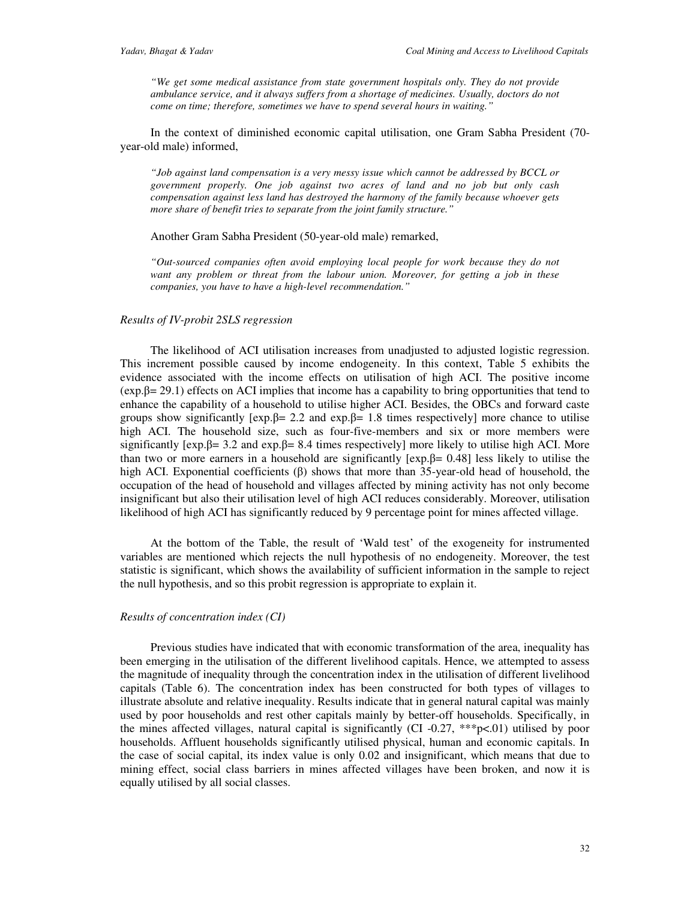*"We get some medical assistance from state government hospitals only. They do not provide ambulance service, and it always suffers from a shortage of medicines. Usually, doctors do not come on time; therefore, sometimes we have to spend several hours in waiting."* 

In the context of diminished economic capital utilisation, one Gram Sabha President (70 year-old male) informed,

*"Job against land compensation is a very messy issue which cannot be addressed by BCCL or government properly. One job against two acres of land and no job but only cash compensation against less land has destroyed the harmony of the family because whoever gets more share of benefit tries to separate from the joint family structure."* 

Another Gram Sabha President (50-year-old male) remarked,

*"Out-sourced companies often avoid employing local people for work because they do not want any problem or threat from the labour union. Moreover, for getting a job in these companies, you have to have a high-level recommendation."* 

#### *Results of IV-probit 2SLS regression*

The likelihood of ACI utilisation increases from unadjusted to adjusted logistic regression. This increment possible caused by income endogeneity. In this context, Table 5 exhibits the evidence associated with the income effects on utilisation of high ACI. The positive income  $(exp.\beta = 29.1)$  effects on ACI implies that income has a capability to bring opportunities that tend to enhance the capability of a household to utilise higher ACI. Besides, the OBCs and forward caste groups show significantly  $[\exp \beta = 2.2 \text{ and } \exp \beta = 1.8 \text{ times respectively}]$  more chance to utilise high ACI. The household size, such as four-five-members and six or more members were significantly  $[exp.β= 3.2$  and  $exp.β= 8.4$  times respectively] more likely to utilise high ACI. More than two or more earners in a household are significantly  $[exp.B = 0.48]$  less likely to utilise the high ACI. Exponential coefficients  $(β)$  shows that more than 35-year-old head of household, the occupation of the head of household and villages affected by mining activity has not only become insignificant but also their utilisation level of high ACI reduces considerably. Moreover, utilisation likelihood of high ACI has significantly reduced by 9 percentage point for mines affected village.

At the bottom of the Table, the result of 'Wald test' of the exogeneity for instrumented variables are mentioned which rejects the null hypothesis of no endogeneity. Moreover, the test statistic is significant, which shows the availability of sufficient information in the sample to reject the null hypothesis, and so this probit regression is appropriate to explain it.

#### *Results of concentration index (CI)*

Previous studies have indicated that with economic transformation of the area, inequality has been emerging in the utilisation of the different livelihood capitals. Hence, we attempted to assess the magnitude of inequality through the concentration index in the utilisation of different livelihood capitals (Table 6). The concentration index has been constructed for both types of villages to illustrate absolute and relative inequality. Results indicate that in general natural capital was mainly used by poor households and rest other capitals mainly by better-off households. Specifically, in the mines affected villages, natural capital is significantly (CI -0.27,  $***p<.01$ ) utilised by poor households. Affluent households significantly utilised physical, human and economic capitals. In the case of social capital, its index value is only 0.02 and insignificant, which means that due to mining effect, social class barriers in mines affected villages have been broken, and now it is equally utilised by all social classes.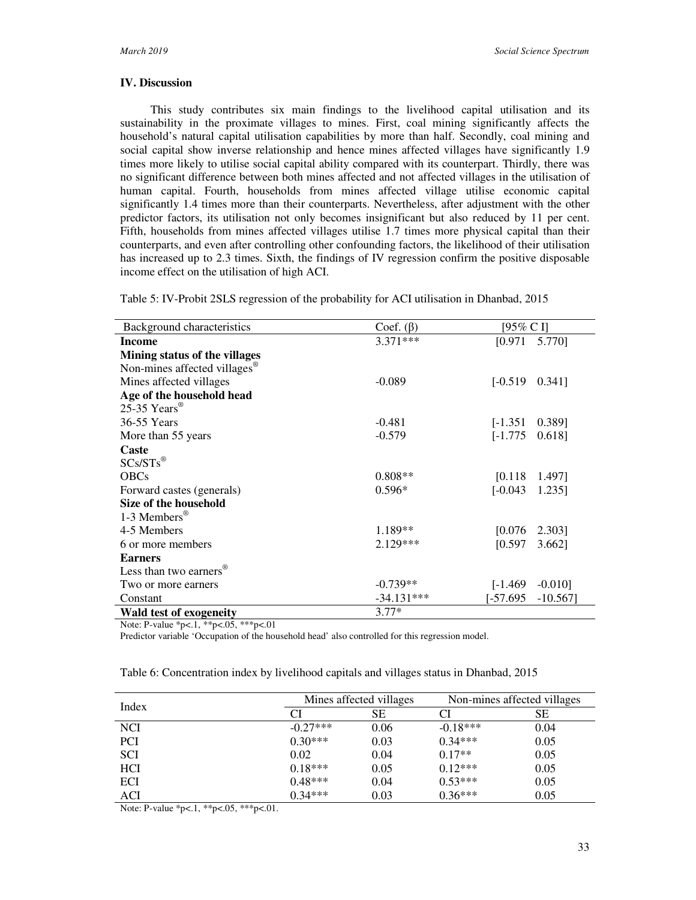# **IV. Discussion**

This study contributes six main findings to the livelihood capital utilisation and its sustainability in the proximate villages to mines. First, coal mining significantly affects the household's natural capital utilisation capabilities by more than half. Secondly, coal mining and social capital show inverse relationship and hence mines affected villages have significantly 1.9 times more likely to utilise social capital ability compared with its counterpart. Thirdly, there was no significant difference between both mines affected and not affected villages in the utilisation of human capital. Fourth, households from mines affected village utilise economic capital significantly 1.4 times more than their counterparts. Nevertheless, after adjustment with the other predictor factors, its utilisation not only becomes insignificant but also reduced by 11 per cent. Fifth, households from mines affected villages utilise 1.7 times more physical capital than their counterparts, and even after controlling other confounding factors, the likelihood of their utilisation has increased up to 2.3 times. Sixth, the findings of IV regression confirm the positive disposable income effect on the utilisation of high ACI.

Table 5: IV-Probit 2SLS regression of the probability for ACI utilisation in Dhanbad, 2015

| Background characteristics               | Coef. $(\beta)$ | [95% C I]             |            |
|------------------------------------------|-----------------|-----------------------|------------|
| Income                                   | $3.371***$      | [0.971]               | 5.770]     |
| Mining status of the villages            |                 |                       |            |
| Non-mines affected villages <sup>®</sup> |                 |                       |            |
| Mines affected villages                  | $-0.089$        | $[-0.519]$            | 0.3411     |
| Age of the household head                |                 |                       |            |
| 25-35 Years                              |                 |                       |            |
| 36-55 Years                              | $-0.481$        | $[-1.351]$            | 0.389]     |
| More than 55 years                       | $-0.579$        | $[-1.775]$            | 0.618]     |
| Caste                                    |                 |                       |            |
| $SCs/STs^{\circledR}$                    |                 |                       |            |
| <b>OBCs</b>                              | $0.808**$       | $[0.118 \quad 1.497]$ |            |
| Forward castes (generals)                | $0.596*$        | $[-0.043]$            | 1.235]     |
| Size of the household                    |                 |                       |            |
| 1-3 Members <sup>®</sup>                 |                 |                       |            |
| 4-5 Members                              | 1.189**         | $[0.076 \quad 2.303]$ |            |
| 6 or more members                        | 2.129***        | [0.597]               | 3.662]     |
| <b>Earners</b>                           |                 |                       |            |
| Less than two earners $^{\circledR}$     |                 |                       |            |
| Two or more earners                      | $-0.739**$      | [-1.469]              | $-0.010$ ] |
| Constant                                 | $-34.131***$    | [-57.695              | $-10.567$  |
| <b>Wald test of exogeneity</b>           | $3.77*$         |                       |            |

Note: P-value \*p<.1, \*\*p<.05, \*\*\*p<.01

Predictor variable 'Occupation of the household head' also controlled for this regression model.

| Index      |            | Mines affected villages | Non-mines affected villages |      |  |
|------------|------------|-------------------------|-----------------------------|------|--|
|            | CI         | SЕ                      |                             | SЕ   |  |
| <b>NCI</b> | $-0.27***$ | 0.06                    | $-0.18***$                  | 0.04 |  |
| <b>PCI</b> | $0.30***$  | 0.03                    | $0.34***$                   | 0.05 |  |
| <b>SCI</b> | 0.02       | 0.04                    | $0.17**$                    | 0.05 |  |
| HCI        | $0.18***$  | 0.05                    | $0.12***$                   | 0.05 |  |
| ECI        | $0.48***$  | 0.04                    | $0.53***$                   | 0.05 |  |
| ACI        | $0.34***$  | 0.03                    | $0.36***$                   | 0.05 |  |

Table 6: Concentration index by livelihood capitals and villages status in Dhanbad, 2015

Note: P-value \*p<.1, \*\*p<.05, \*\*\*p<.01.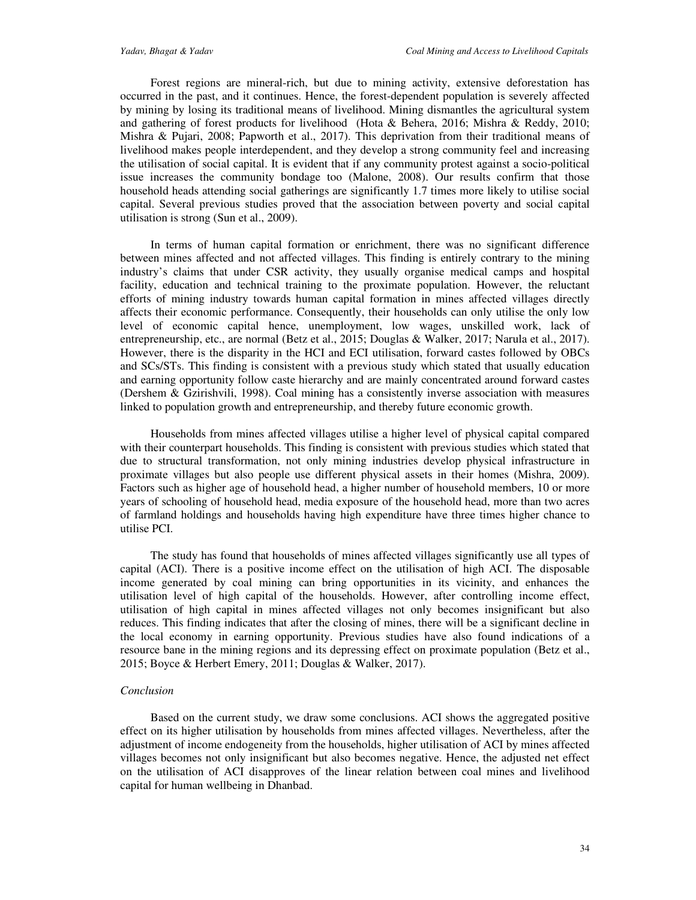Forest regions are mineral-rich, but due to mining activity, extensive deforestation has occurred in the past, and it continues. Hence, the forest-dependent population is severely affected by mining by losing its traditional means of livelihood. Mining dismantles the agricultural system and gathering of forest products for livelihood (Hota & Behera, 2016; Mishra & Reddy, 2010; Mishra & Pujari, 2008; Papworth et al., 2017). This deprivation from their traditional means of livelihood makes people interdependent, and they develop a strong community feel and increasing the utilisation of social capital. It is evident that if any community protest against a socio-political issue increases the community bondage too (Malone, 2008). Our results confirm that those household heads attending social gatherings are significantly 1.7 times more likely to utilise social capital. Several previous studies proved that the association between poverty and social capital utilisation is strong (Sun et al., 2009).

In terms of human capital formation or enrichment, there was no significant difference between mines affected and not affected villages. This finding is entirely contrary to the mining industry's claims that under CSR activity, they usually organise medical camps and hospital facility, education and technical training to the proximate population. However, the reluctant efforts of mining industry towards human capital formation in mines affected villages directly affects their economic performance. Consequently, their households can only utilise the only low level of economic capital hence, unemployment, low wages, unskilled work, lack of entrepreneurship, etc., are normal (Betz et al., 2015; Douglas & Walker, 2017; Narula et al., 2017). However, there is the disparity in the HCI and ECI utilisation, forward castes followed by OBCs and SCs/STs. This finding is consistent with a previous study which stated that usually education and earning opportunity follow caste hierarchy and are mainly concentrated around forward castes (Dershem & Gzirishvili, 1998). Coal mining has a consistently inverse association with measures linked to population growth and entrepreneurship, and thereby future economic growth.

Households from mines affected villages utilise a higher level of physical capital compared with their counterpart households. This finding is consistent with previous studies which stated that due to structural transformation, not only mining industries develop physical infrastructure in proximate villages but also people use different physical assets in their homes (Mishra, 2009). Factors such as higher age of household head, a higher number of household members, 10 or more years of schooling of household head, media exposure of the household head, more than two acres of farmland holdings and households having high expenditure have three times higher chance to utilise PCI.

The study has found that households of mines affected villages significantly use all types of capital (ACI). There is a positive income effect on the utilisation of high ACI. The disposable income generated by coal mining can bring opportunities in its vicinity, and enhances the utilisation level of high capital of the households. However, after controlling income effect, utilisation of high capital in mines affected villages not only becomes insignificant but also reduces. This finding indicates that after the closing of mines, there will be a significant decline in the local economy in earning opportunity. Previous studies have also found indications of a resource bane in the mining regions and its depressing effect on proximate population (Betz et al., 2015; Boyce & Herbert Emery, 2011; Douglas & Walker, 2017).

#### *Conclusion*

Based on the current study, we draw some conclusions. ACI shows the aggregated positive effect on its higher utilisation by households from mines affected villages. Nevertheless, after the adjustment of income endogeneity from the households, higher utilisation of ACI by mines affected villages becomes not only insignificant but also becomes negative. Hence, the adjusted net effect on the utilisation of ACI disapproves of the linear relation between coal mines and livelihood capital for human wellbeing in Dhanbad.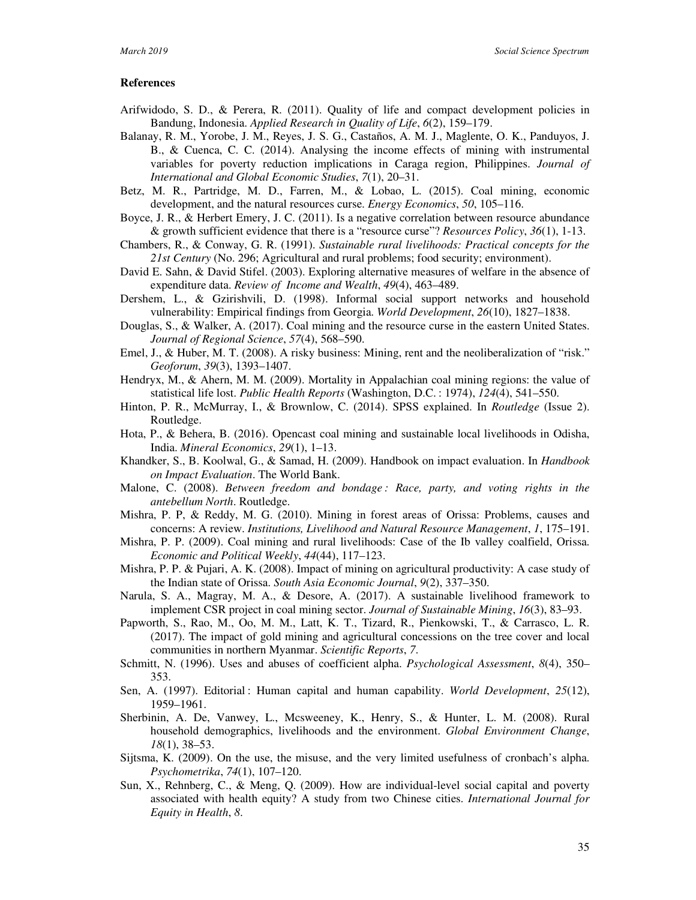#### **References**

- Arifwidodo, S. D., & Perera, R. (2011). Quality of life and compact development policies in Bandung, Indonesia. *Applied Research in Quality of Life*, *6*(2), 159–179.
- Balanay, R. M., Yorobe, J. M., Reyes, J. S. G., Castaños, A. M. J., Maglente, O. K., Panduyos, J. B., & Cuenca, C. C. (2014). Analysing the income effects of mining with instrumental variables for poverty reduction implications in Caraga region, Philippines. *Journal of International and Global Economic Studies*, *7*(1), 20–31.
- Betz, M. R., Partridge, M. D., Farren, M., & Lobao, L. (2015). Coal mining, economic development, and the natural resources curse. *Energy Economics*, *50*, 105–116.
- Boyce, J. R., & Herbert Emery, J. C. (2011). Is a negative correlation between resource abundance & growth sufficient evidence that there is a "resource curse"? *Resources Policy*, *36*(1), 1-13.
- Chambers, R., & Conway, G. R. (1991). *Sustainable rural livelihoods: Practical concepts for the 21st Century* (No. 296; Agricultural and rural problems; food security; environment).
- David E. Sahn, & David Stifel. (2003). Exploring alternative measures of welfare in the absence of expenditure data. *Review of Income and Wealth*, *49*(4), 463–489.
- Dershem, L., & Gzirishvili, D. (1998). Informal social support networks and household vulnerability: Empirical findings from Georgia. *World Development*, *26*(10), 1827–1838.
- Douglas, S., & Walker, A. (2017). Coal mining and the resource curse in the eastern United States. *Journal of Regional Science*, *57*(4), 568–590.
- Emel, J., & Huber, M. T. (2008). A risky business: Mining, rent and the neoliberalization of "risk." *Geoforum*, *39*(3), 1393–1407.
- Hendryx, M., & Ahern, M. M. (2009). Mortality in Appalachian coal mining regions: the value of statistical life lost. *Public Health Reports* (Washington, D.C. : 1974), *124*(4), 541–550.
- Hinton, P. R., McMurray, I., & Brownlow, C. (2014). SPSS explained. In *Routledge* (Issue 2). Routledge.
- Hota, P., & Behera, B. (2016). Opencast coal mining and sustainable local livelihoods in Odisha, India. *Mineral Economics*, *29*(1), 1–13.
- Khandker, S., B. Koolwal, G., & Samad, H. (2009). Handbook on impact evaluation. In *Handbook on Impact Evaluation*. The World Bank.
- Malone, C. (2008). *Between freedom and bondage : Race, party, and voting rights in the antebellum North*. Routledge.
- Mishra, P. P, & Reddy, M. G. (2010). Mining in forest areas of Orissa: Problems, causes and concerns: A review. *Institutions, Livelihood and Natural Resource Management*, *1*, 175–191.
- Mishra, P. P. (2009). Coal mining and rural livelihoods: Case of the Ib valley coalfield, Orissa. *Economic and Political Weekly*, *44*(44), 117–123.
- Mishra, P. P. & Pujari, A. K. (2008). Impact of mining on agricultural productivity: A case study of the Indian state of Orissa. *South Asia Economic Journal*, *9*(2), 337–350.
- Narula, S. A., Magray, M. A., & Desore, A. (2017). A sustainable livelihood framework to implement CSR project in coal mining sector. *Journal of Sustainable Mining*, *16*(3), 83–93.
- Papworth, S., Rao, M., Oo, M. M., Latt, K. T., Tizard, R., Pienkowski, T., & Carrasco, L. R. (2017). The impact of gold mining and agricultural concessions on the tree cover and local communities in northern Myanmar. *Scientific Reports*, *7*.
- Schmitt, N. (1996). Uses and abuses of coefficient alpha. *Psychological Assessment*, *8*(4), 350– 353.
- Sen, A. (1997). Editorial : Human capital and human capability. *World Development*, *25*(12), 1959–1961.
- Sherbinin, A. De, Vanwey, L., Mcsweeney, K., Henry, S., & Hunter, L. M. (2008). Rural household demographics, livelihoods and the environment. *Global Environment Change*, *18*(1), 38–53.
- Sijtsma, K. (2009). On the use, the misuse, and the very limited usefulness of cronbach's alpha. *Psychometrika*, *74*(1), 107–120.
- Sun, X., Rehnberg, C., & Meng, Q. (2009). How are individual-level social capital and poverty associated with health equity? A study from two Chinese cities. *International Journal for Equity in Health*, *8*.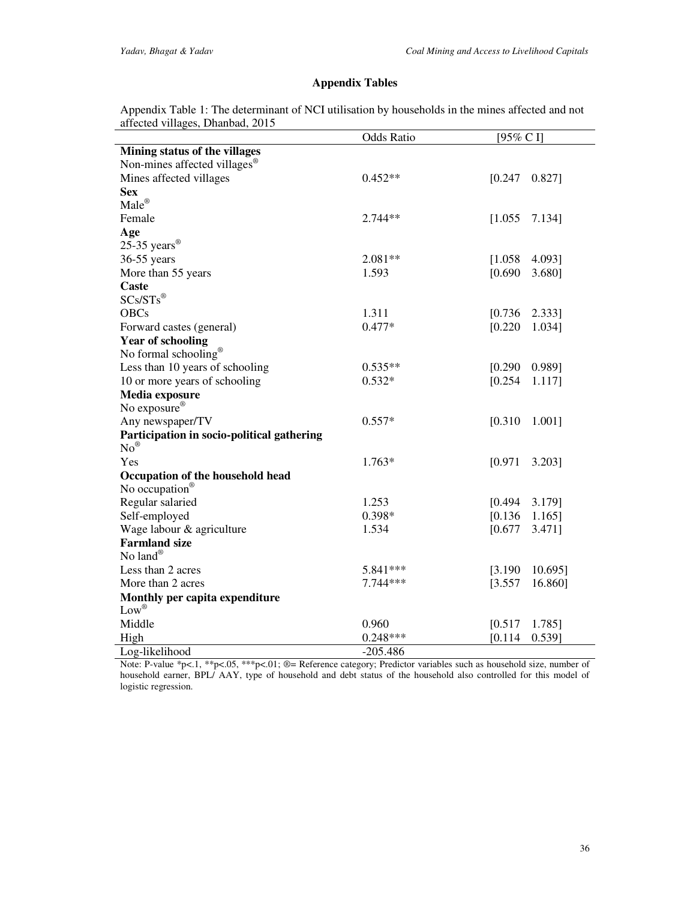# **Appendix Tables**

Appendix Table 1: The determinant of NCI utilisation by households in the mines affected and not affected villages, Dhanbad, 2015

|                                            | <b>Odds Ratio</b> | [95% C I]            |  |  |
|--------------------------------------------|-------------------|----------------------|--|--|
| Mining status of the villages              |                   |                      |  |  |
| Non-mines affected villages <sup>®</sup>   |                   |                      |  |  |
| Mines affected villages                    | $0.452**$         | [0.247]<br>0.827]    |  |  |
| <b>Sex</b>                                 |                   |                      |  |  |
| $Male^{\circledR}$                         |                   |                      |  |  |
| Female                                     | $2.744**$         | [1.055]<br>7.134]    |  |  |
| Age                                        |                   |                      |  |  |
| 25-35 years $^{\circledR}$                 |                   |                      |  |  |
| 36-55 years                                | $2.081**$         | [1.058]<br>4.093]    |  |  |
| More than 55 years                         | 1.593             | [0.690]<br>3.680]    |  |  |
| Caste                                      |                   |                      |  |  |
| $SCs/STs^{\circledR}$                      |                   |                      |  |  |
| <b>OBCs</b>                                | 1.311             | [0.736]<br>2.333]    |  |  |
| Forward castes (general)                   | $0.477*$          | [0.220]<br>1.034]    |  |  |
| <b>Year of schooling</b>                   |                   |                      |  |  |
| No formal schooling®                       |                   |                      |  |  |
| Less than 10 years of schooling            | $0.535**$         | [0.290]<br>0.989]    |  |  |
| 10 or more years of schooling              | $0.532*$          | [0.254]<br>1.117]    |  |  |
| Media exposure                             |                   |                      |  |  |
| No exposure <sup>®</sup>                   |                   |                      |  |  |
| Any newspaper/TV                           | $0.557*$          | [0.310]<br>1.001]    |  |  |
| Participation in socio-political gathering |                   |                      |  |  |
| $No^{\circledR}$                           |                   |                      |  |  |
| Yes                                        | $1.763*$          | [0.971]<br>3.203]    |  |  |
| Occupation of the household head           |                   |                      |  |  |
| No occupation <sup>®</sup>                 |                   |                      |  |  |
| Regular salaried                           | 1.253             | [0.494]<br>3.179]    |  |  |
| Self-employed                              | 0.398*            | [0.136]<br>$1.165$ ] |  |  |
| Wage labour & agriculture                  | 1.534             | [0.677]<br>$3.471$ ] |  |  |
| <b>Farmland size</b>                       |                   |                      |  |  |
| No land®                                   |                   |                      |  |  |
| Less than 2 acres                          | $5.841***$        | [3.190]<br>10.695]   |  |  |
| More than 2 acres                          | $7.744***$        | [3.557]<br>16.860]   |  |  |
| Monthly per capita expenditure             |                   |                      |  |  |
| $Low^{\circledR}$                          |                   |                      |  |  |
| Middle                                     | 0.960             | [0.517]<br>1.785]    |  |  |
| High                                       | $0.248***$        | $0.539$ ]<br>[0.114] |  |  |
| Log-likelihood                             | $-205.486$        |                      |  |  |

Note: P-value \*p<.1, \*\*p<.05, \*\*\*p<.01; ®= Reference category; Predictor variables such as household size, number of household earner, BPL/ AAY, type of household and debt status of the household also controlled for this model of logistic regression.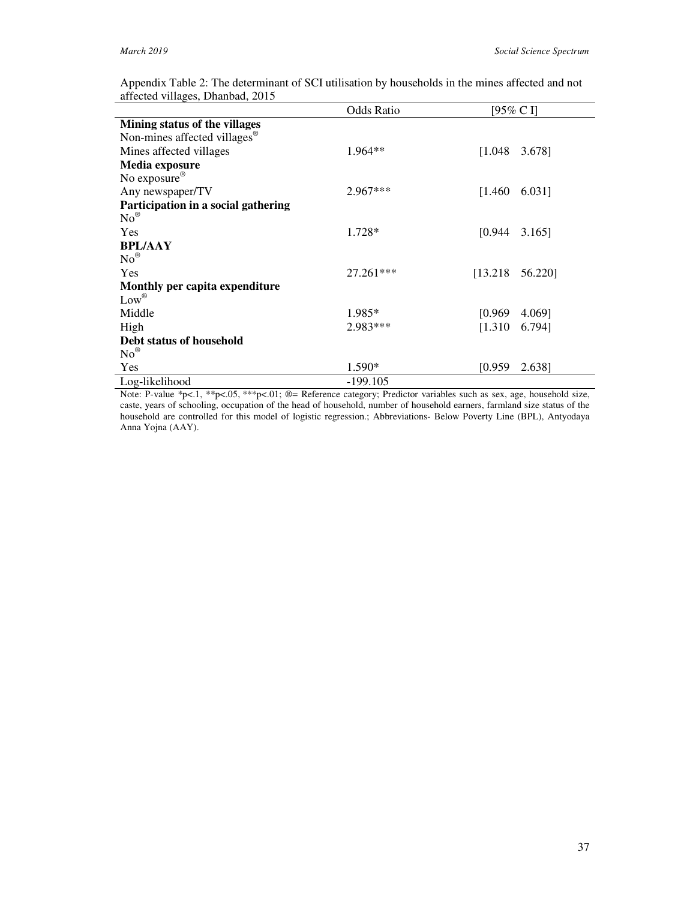|                                          | <b>Odds Ratio</b> | [95% C I]           |
|------------------------------------------|-------------------|---------------------|
| Mining status of the villages            |                   |                     |
| Non-mines affected villages <sup>®</sup> |                   |                     |
| Mines affected villages                  | $1.964**$         | [1.048]<br>3.678]   |
| Media exposure                           |                   |                     |
| No exposure <sup>®</sup>                 |                   |                     |
| Any newspaper/TV                         | 2.967***          | [1.460]<br>6.031]   |
| Participation in a social gathering      |                   |                     |
| $No^{\circledR}$                         |                   |                     |
| <b>Yes</b>                               | $1.728*$          | [0.944]<br>3.165]   |
| <b>BPL/AAY</b>                           |                   |                     |
| $No^{\circledR}$                         |                   |                     |
| Yes                                      | $27.261***$       | [13.218]<br>56.220] |
| Monthly per capita expenditure           |                   |                     |
| $Low^{\circledR}$                        |                   |                     |
| Middle                                   | $1.985*$          | [0.969]<br>4.069]   |
| High                                     | 2.983***          | [1.310]<br>6.794]   |
| Debt status of household                 |                   |                     |
| $No^{\circledR}$                         |                   |                     |
| Yes                                      | 1.590*            | [0.959]<br>2.638]   |
| Log-likelihood                           | $-199.105$        |                     |

Appendix Table 2: The determinant of SCI utilisation by households in the mines affected and not affected villages, Dhanbad, 2015

Note: P-value \*p<.1, \*\*p<.05, \*\*\*p<.01; ®= Reference category; Predictor variables such as sex, age, household size, caste, years of schooling, occupation of the head of household, number of household earners, farmland size status of the household are controlled for this model of logistic regression.; Abbreviations- Below Poverty Line (BPL), Antyodaya Anna Yojna (AAY).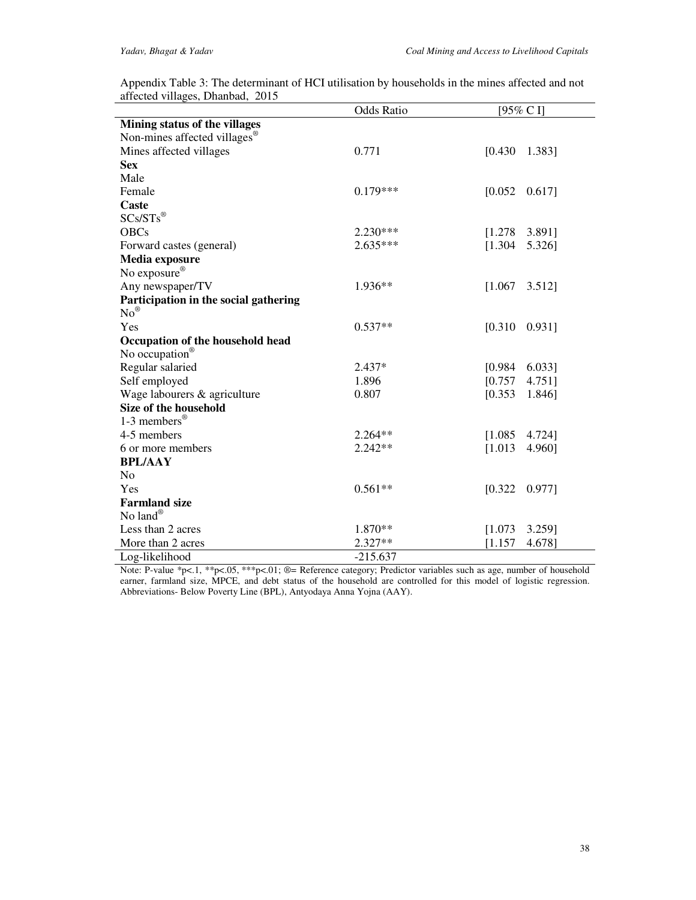|                                          | <b>Odds Ratio</b> | $[95\% \text{ C} ]$  |
|------------------------------------------|-------------------|----------------------|
| Mining status of the villages            |                   |                      |
| Non-mines affected villages <sup>®</sup> |                   |                      |
| Mines affected villages                  | 0.771             | [0.430]<br>1.383]    |
| <b>Sex</b>                               |                   |                      |
| Male                                     |                   |                      |
| Female                                   | $0.179***$        | [0.052]<br>$0.617$ ] |
| Caste                                    |                   |                      |
| $SCs/STs^{\circledR}$                    |                   |                      |
| <b>OBCs</b>                              | $2.230***$        | [1.278]<br>3.891]    |
| Forward castes (general)                 | $2.635***$        | [1.304]<br>5.326]    |
| Media exposure                           |                   |                      |
| No exposure®                             |                   |                      |
| Any newspaper/TV                         | 1.936**           | [1.067]<br>3.512]    |
| Participation in the social gathering    |                   |                      |
| $No^{\circledR}$                         |                   |                      |
| Yes                                      | $0.537**$         | [0.310]<br>0.931]    |
| Occupation of the household head         |                   |                      |
| No occupation®                           |                   |                      |
| Regular salaried                         | $2.437*$          | [0.984]<br>6.033]    |
| Self employed                            | 1.896             | [0.757]<br>4.751]    |
| Wage labourers & agriculture             | 0.807             | [0.353]<br>1.846]    |
| Size of the household                    |                   |                      |
| 1-3 members <sup>®</sup>                 |                   |                      |
| 4-5 members                              | 2.264**           | 4.724]<br>[1.085]    |
| 6 or more members                        | $2.242**$         | [1.013]<br>4.960]    |
| <b>BPL/AAY</b>                           |                   |                      |
| N <sub>o</sub>                           |                   |                      |
| Yes                                      | $0.561**$         | [0.322]<br>$0.977$ ] |
| <b>Farmland size</b>                     |                   |                      |
| No land®                                 |                   |                      |
| Less than 2 acres                        | 1.870**           | [1.073]<br>3.259]    |
| More than 2 acres                        | 2.327**           | [1.157]<br>4.678]    |
| Log-likelihood                           | $-215.637$        |                      |

Appendix Table 3: The determinant of HCI utilisation by households in the mines affected and not affected villages, Dhanbad, 2015

Note: P-value \*p<.1, \*\*p<.05, \*\*\*p<.01; ®= Reference category; Predictor variables such as age, number of household earner, farmland size, MPCE, and debt status of the household are controlled for this model of logistic regression. Abbreviations- Below Poverty Line (BPL), Antyodaya Anna Yojna (AAY).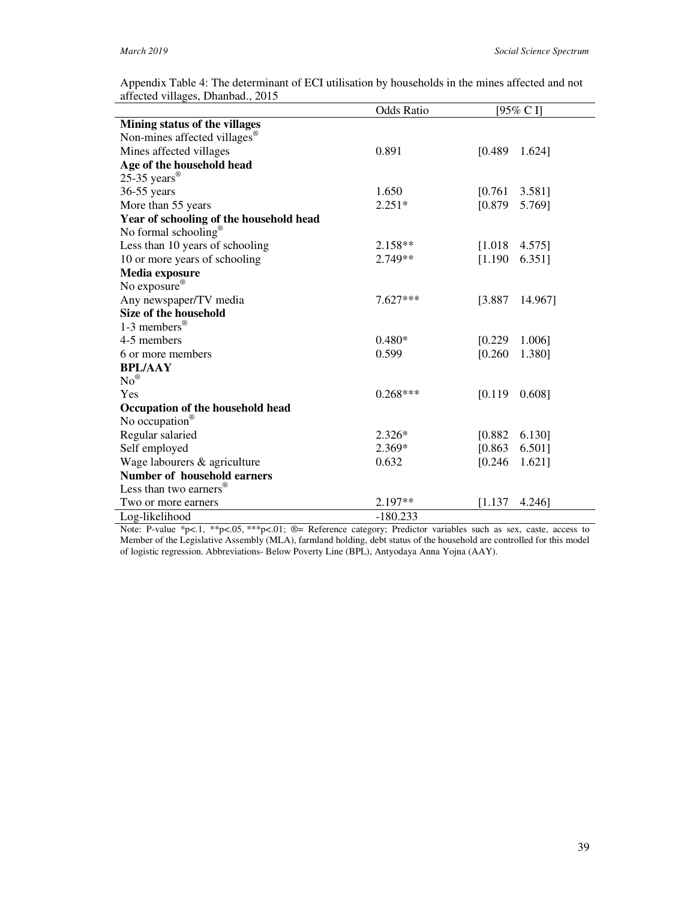**Occupation of the household head** 

**Number of household earners**

Less than two earners<sup>®</sup>

No occupation<sup>®</sup>

| affected villages, Dhanbad., 2015        |                   |         |           |
|------------------------------------------|-------------------|---------|-----------|
|                                          | <b>Odds Ratio</b> |         | [95% C I] |
| Mining status of the villages            |                   |         |           |
| Non-mines affected villages <sup>®</sup> |                   |         |           |
| Mines affected villages                  | 0.891             | [0.489] | 1.624]    |
| Age of the household head                |                   |         |           |
| 25-35 years $^{\circledR}$               |                   |         |           |
| $36-55$ years                            | 1.650             | [0.761  | 3.581]    |
| More than 55 years                       | $2.251*$          | [0.879] | 5.769]    |
| Year of schooling of the household head  |                   |         |           |
| No formal schooling <sup>®</sup>         |                   |         |           |
| Less than 10 years of schooling          | $2.158**$         | [1.018  | 4.575]    |
| 10 or more years of schooling            | $2.749**$         | [1.190] | 6.351]    |
| Media exposure                           |                   |         |           |
| No exposure $^{\circledR}$               |                   |         |           |
| Any newspaper/TV media                   | $7.627***$        | [3.887] | 14.967]   |
| Size of the household                    |                   |         |           |
| 1-3 members <sup>®</sup>                 |                   |         |           |
| 4-5 members                              | $0.480*$          | [0.229] | 1.006]    |
| 6 or more members                        | 0.599             | [0.260] | 1.380]    |
| <b>BPL/AAY</b>                           |                   |         |           |
| $No^{\circledR}$                         |                   |         |           |
| Yes                                      | $0.268***$        | [0.119] | 0.608]    |

Appendix Table 4: The determinant of ECI utilisation by households in the mines affected and not affected villages, Dhanbad., 2015

Note: P-value \*p<.1, \*\*p<.05, \*\*\*p<.01; ®= Reference category; Predictor variables such as sex, caste, access to Member of the Legislative Assembly (MLA), farmland holding, debt status of the household are controlled for this model of logistic regression. Abbreviations- Below Poverty Line (BPL), Antyodaya Anna Yojna (AAY).

Regular salaried 2.326\* [0.882 6.130] Self employed 2.369\* [0.863 6.501] Wage labourers & agriculture 0.632 [0.246 1.621]

Two or more earners 2.197<sup>\*\*</sup> [1.137 4.246]

Log-likelihood -180.233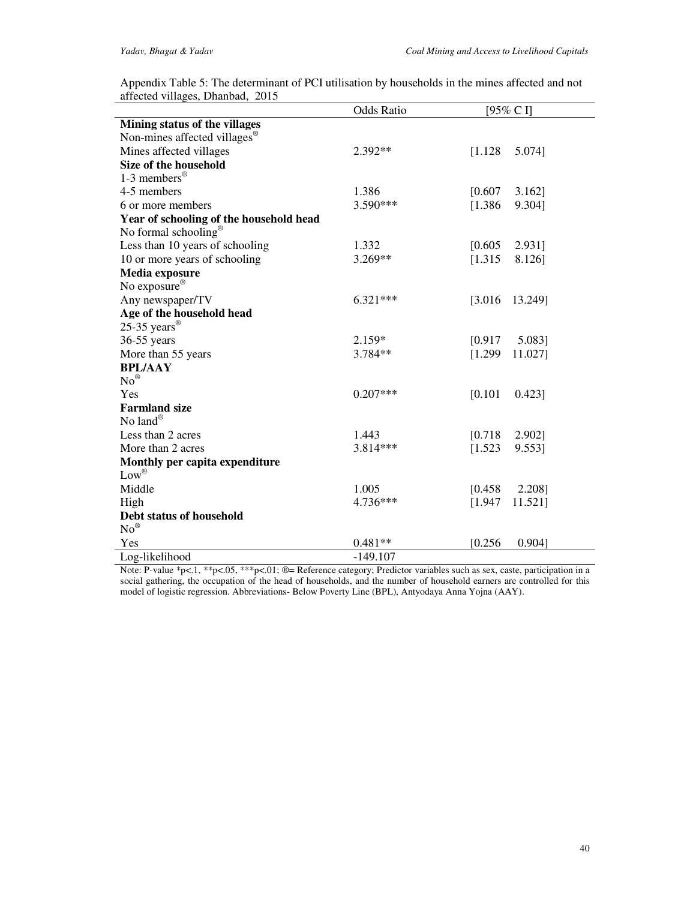| Appendix Table 5: The determinant of PCI utilisation by households in the mines affected and not |  |
|--------------------------------------------------------------------------------------------------|--|
| affected villages, Dhanbad, 2015                                                                 |  |

|                                          | <b>Odds Ratio</b> | [95% C I]            |
|------------------------------------------|-------------------|----------------------|
| Mining status of the villages            |                   |                      |
| Non-mines affected villages <sup>®</sup> |                   |                      |
| Mines affected villages                  | 2.392**           | [1.128]<br>5.074]    |
| Size of the household                    |                   |                      |
| 1-3 members <sup>®</sup>                 |                   |                      |
| 4-5 members                              | 1.386             | [0.607]<br>$3.162$ ] |
| 6 or more members                        | $3.590***$        | [1.386]<br>9.304]    |
| Year of schooling of the household head  |                   |                      |
| No formal schooling <sup>®</sup>         |                   |                      |
| Less than 10 years of schooling          | 1.332             | [0.605]<br>2.931]    |
| 10 or more years of schooling            | 3.269**           | [1.315]<br>8.126]    |
| Media exposure                           |                   |                      |
| No exposure®                             |                   |                      |
| Any newspaper/TV                         | $6.321***$        | [3.016]<br>13.249]   |
| Age of the household head                |                   |                      |
| 25-35 years $^{\circledR}$               |                   |                      |
| 36-55 years                              | 2.159*            | [0.917]<br>5.083]    |
| More than 55 years                       | 3.784**           | [1.299]<br>11.027]   |
| <b>BPL/AAY</b>                           |                   |                      |
| $No^{\circledR}$                         |                   |                      |
| Yes                                      | $0.207***$        | [0.101]<br>$0.423$ ] |
| <b>Farmland size</b>                     |                   |                      |
| No land®                                 |                   |                      |
| Less than 2 acres                        | 1.443             | [0.718]<br>2.902]    |
| More than 2 acres                        | 3.814***          | [1.523]<br>9.553]    |
| Monthly per capita expenditure           |                   |                      |
| $Low^{\circledR}$                        |                   |                      |
| Middle                                   | 1.005             | [0.458]<br>2.208]    |
| High                                     | 4.736***          | [1.947]<br>11.521]   |
| Debt status of household                 |                   |                      |
| $No^{\circledR}$                         |                   |                      |
| Yes                                      | $0.481**$         | [0.256]<br>0.904]    |
| Log-likelihood                           | $-149.107$        |                      |

Note: P-value \*p<.1, \*\*p<.05, \*\*\*p<.01; ®= Reference category; Predictor variables such as sex, caste, participation in a social gathering, the occupation of the head of households, and the number of household earners are controlled for this model of logistic regression. Abbreviations- Below Poverty Line (BPL), Antyodaya Anna Yojna (AAY).